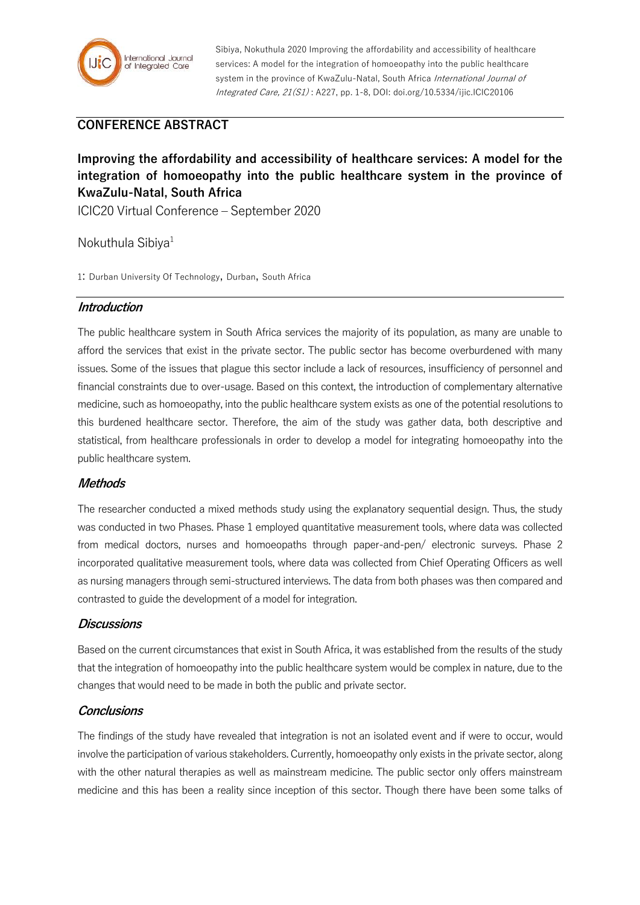

Sibiya, Nokuthula 2020 Improving the affordability and accessibility of healthcare services: A model for the integration of homoeopathy into the public healthcare system in the province of KwaZulu-Natal, South Africa International Journal of Integrated Care, 21(S1) : A227, pp. 1-8, DOI: doi.org/10.5334/ijic.ICIC20106

# **CONFERENCE ABSTRACT**

# **Improving the affordability and accessibility of healthcare services: A model for the integration of homoeopathy into the public healthcare system in the province of KwaZulu-Natal, South Africa**

ICIC20 Virtual Conference – September 2020

Nokuthula Sibiya<sup>1</sup>

1: Durban University Of Technology, Durban, South Africa

#### **Introduction**

The public healthcare system in South Africa services the majority of its population, as many are unable to afford the services that exist in the private sector. The public sector has become overburdened with many issues. Some of the issues that plague this sector include a lack of resources, insufficiency of personnel and financial constraints due to over-usage. Based on this context, the introduction of complementary alternative medicine, such as homoeopathy, into the public healthcare system exists as one of the potential resolutions to this burdened healthcare sector. Therefore, the aim of the study was gather data, both descriptive and statistical, from healthcare professionals in order to develop a model for integrating homoeopathy into the public healthcare system.

### **Methods**

The researcher conducted a mixed methods study using the explanatory sequential design. Thus, the study was conducted in two Phases. Phase 1 employed quantitative measurement tools, where data was collected from medical doctors, nurses and homoeopaths through paper-and-pen/ electronic surveys. Phase 2 incorporated qualitative measurement tools, where data was collected from Chief Operating Officers as well as nursing managers through semi-structured interviews. The data from both phases was then compared and contrasted to guide the development of a model for integration.

### **Discussions**

Based on the current circumstances that exist in South Africa, it was established from the results of the study that the integration of homoeopathy into the public healthcare system would be complex in nature, due to the changes that would need to be made in both the public and private sector.

#### **Conclusions**

The findings of the study have revealed that integration is not an isolated event and if were to occur, would involve the participation of various stakeholders. Currently, homoeopathy only exists in the private sector, along with the other natural therapies as well as mainstream medicine. The public sector only offers mainstream medicine and this has been a reality since inception of this sector. Though there have been some talks of